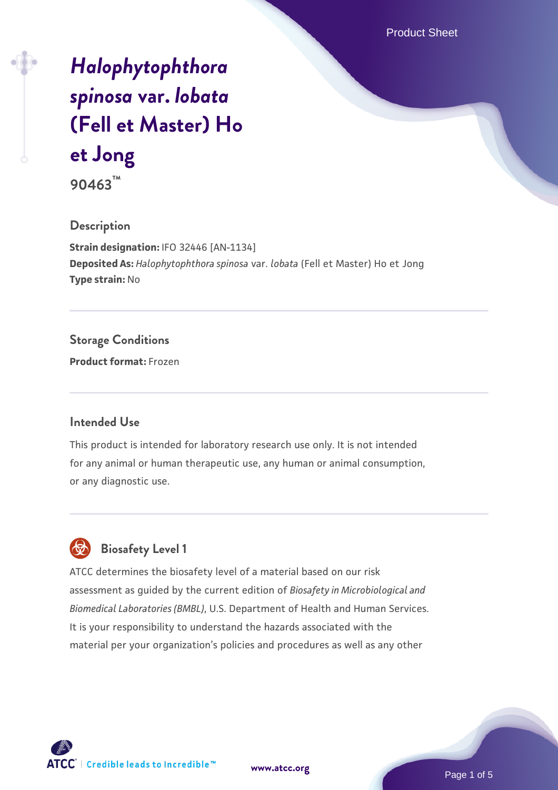Product Sheet

# *[Halophytophthora](https://www.atcc.org/products/90463) [spinosa](https://www.atcc.org/products/90463)* **[var.](https://www.atcc.org/products/90463)** *[lobata](https://www.atcc.org/products/90463)* **[\(Fell et Master\) Ho](https://www.atcc.org/products/90463) [et Jong](https://www.atcc.org/products/90463)**

**90463™**

#### **Description**

**Strain designation:** IFO 32446 [AN-1134] **Deposited As:** *Halophytophthora spinosa* var. *lobata* (Fell et Master) Ho et Jong **Type strain:** No

# **Storage Conditions**

**Product format:** Frozen

#### **Intended Use**

This product is intended for laboratory research use only. It is not intended for any animal or human therapeutic use, any human or animal consumption, or any diagnostic use.

# **Biosafety Level 1**

ATCC determines the biosafety level of a material based on our risk assessment as guided by the current edition of *Biosafety in Microbiological and Biomedical Laboratories (BMBL)*, U.S. Department of Health and Human Services. It is your responsibility to understand the hazards associated with the material per your organization's policies and procedures as well as any other



**[www.atcc.org](http://www.atcc.org)**

Page 1 of 5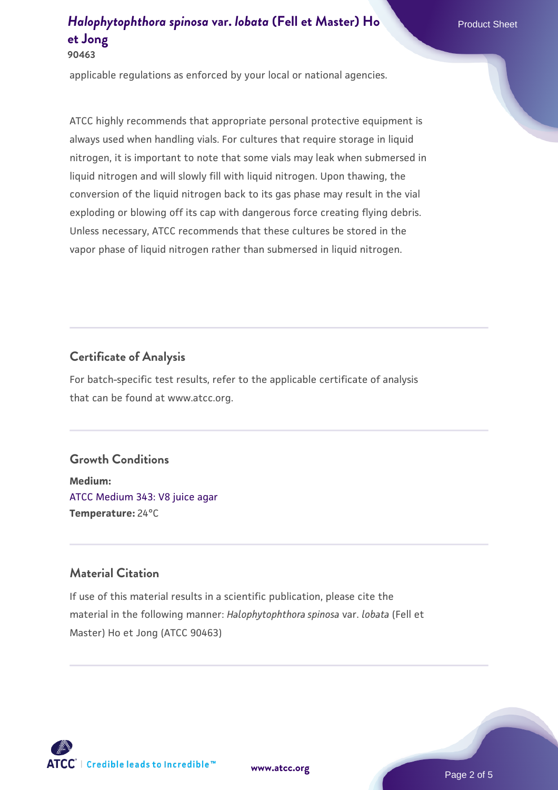applicable regulations as enforced by your local or national agencies.

ATCC highly recommends that appropriate personal protective equipment is always used when handling vials. For cultures that require storage in liquid nitrogen, it is important to note that some vials may leak when submersed in liquid nitrogen and will slowly fill with liquid nitrogen. Upon thawing, the conversion of the liquid nitrogen back to its gas phase may result in the vial exploding or blowing off its cap with dangerous force creating flying debris. Unless necessary, ATCC recommends that these cultures be stored in the vapor phase of liquid nitrogen rather than submersed in liquid nitrogen.

#### **Certificate of Analysis**

For batch-specific test results, refer to the applicable certificate of analysis that can be found at www.atcc.org.

#### **Growth Conditions**

**Medium:**  [ATCC Medium 343: V8 juice agar](https://www.atcc.org/-/media/product-assets/documents/microbial-media-formulations/3/4/3/atcc-medium-0343.pdf?rev=fbf48fa24e664932828269db1822ab12) **Temperature:** 24°C

## **Material Citation**

If use of this material results in a scientific publication, please cite the material in the following manner: *Halophytophthora spinosa* var. *lobata* (Fell et Master) Ho et Jong (ATCC 90463)



**[www.atcc.org](http://www.atcc.org)**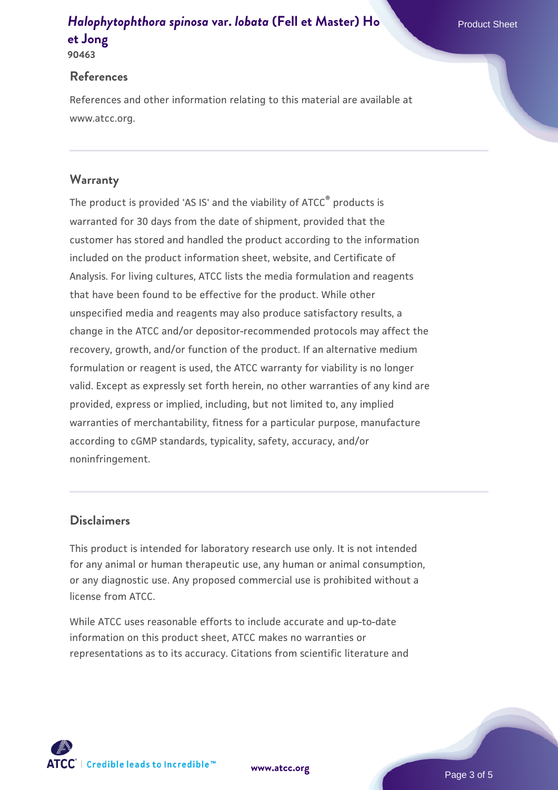#### **90463**

## **References**

References and other information relating to this material are available at www.atcc.org.

# **Warranty**

The product is provided 'AS IS' and the viability of ATCC® products is warranted for 30 days from the date of shipment, provided that the customer has stored and handled the product according to the information included on the product information sheet, website, and Certificate of Analysis. For living cultures, ATCC lists the media formulation and reagents that have been found to be effective for the product. While other unspecified media and reagents may also produce satisfactory results, a change in the ATCC and/or depositor-recommended protocols may affect the recovery, growth, and/or function of the product. If an alternative medium formulation or reagent is used, the ATCC warranty for viability is no longer valid. Except as expressly set forth herein, no other warranties of any kind are provided, express or implied, including, but not limited to, any implied warranties of merchantability, fitness for a particular purpose, manufacture according to cGMP standards, typicality, safety, accuracy, and/or noninfringement.

# **Disclaimers**

This product is intended for laboratory research use only. It is not intended for any animal or human therapeutic use, any human or animal consumption, or any diagnostic use. Any proposed commercial use is prohibited without a license from ATCC.

While ATCC uses reasonable efforts to include accurate and up-to-date information on this product sheet, ATCC makes no warranties or representations as to its accuracy. Citations from scientific literature and

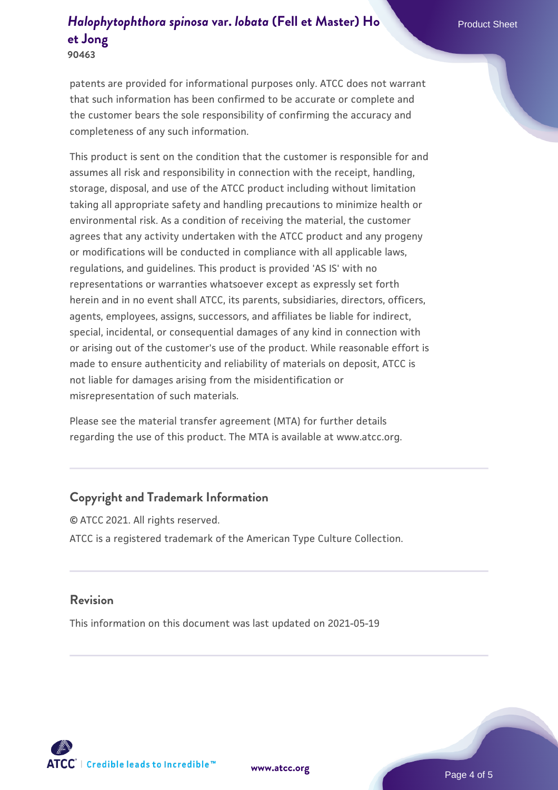patents are provided for informational purposes only. ATCC does not warrant that such information has been confirmed to be accurate or complete and the customer bears the sole responsibility of confirming the accuracy and completeness of any such information.

This product is sent on the condition that the customer is responsible for and assumes all risk and responsibility in connection with the receipt, handling, storage, disposal, and use of the ATCC product including without limitation taking all appropriate safety and handling precautions to minimize health or environmental risk. As a condition of receiving the material, the customer agrees that any activity undertaken with the ATCC product and any progeny or modifications will be conducted in compliance with all applicable laws, regulations, and guidelines. This product is provided 'AS IS' with no representations or warranties whatsoever except as expressly set forth herein and in no event shall ATCC, its parents, subsidiaries, directors, officers, agents, employees, assigns, successors, and affiliates be liable for indirect, special, incidental, or consequential damages of any kind in connection with or arising out of the customer's use of the product. While reasonable effort is made to ensure authenticity and reliability of materials on deposit, ATCC is not liable for damages arising from the misidentification or misrepresentation of such materials.

Please see the material transfer agreement (MTA) for further details regarding the use of this product. The MTA is available at www.atcc.org.

# **Copyright and Trademark Information**

© ATCC 2021. All rights reserved. ATCC is a registered trademark of the American Type Culture Collection.

#### **Revision**

This information on this document was last updated on 2021-05-19



**[www.atcc.org](http://www.atcc.org)**

Page 4 of 5